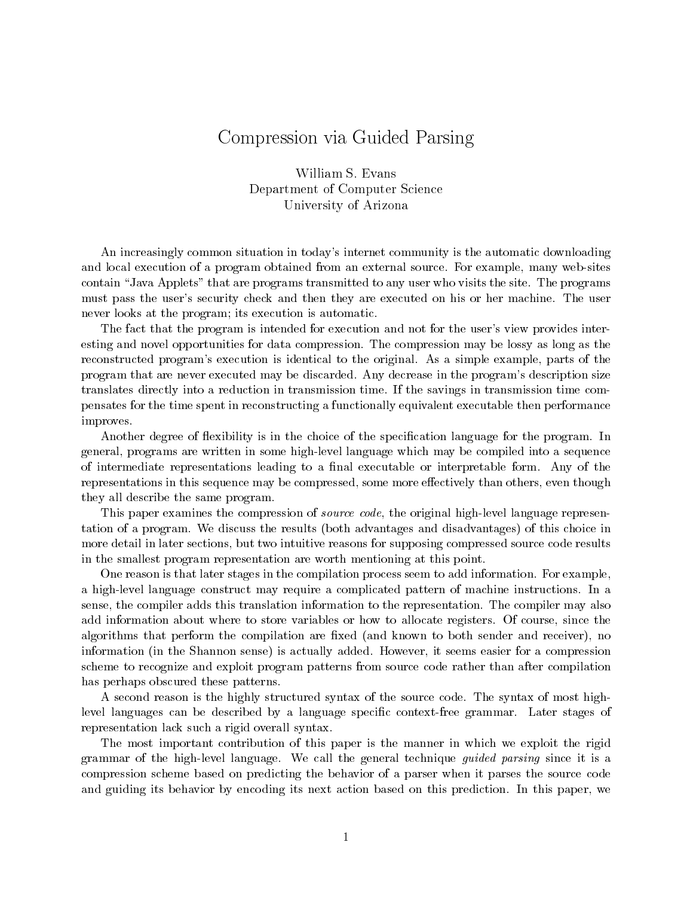# Compression via Guided Parsing

William S. Evans Department of Computer Science University of Arizona

An increasingly common situation in today's internet community is the automatic downloading and local execution of a program obtained from an external source. For example, many web-sites contain "Java Applets" that are programs transmitted to any user who visits the site. The programs must pass the user's security check and then they are executed on his or her machine. The user never looks at the program; its execution is automatic.

The fact that the program is intended for execution and not for the user's view provides interesting and novel opportunities for data compression. The compression may be lossy as long as the reconstructed program's execution is identical to the original. As a simple example, parts of the program that are never executed may be discarded. Any decrease in the program's description size translates directly into a reduction in transmission time. If the savings in transmission time compensates for the time spent in reconstructing a functionally equivalent executable then performance improves.

Another degree of flexibility is in the choice of the specification language for the program. In general, programs are written in some high-level language which may be compiled into a sequence of intermediate representations leading to a final executable or interpretable form. Any of the representations in this sequence may be compressed, some more effectively than others, even though they all describe the same program.

This paper examines the compression of *source code*, the original high-level language representation of a program. We discuss the results (both advantages and disadvantages) of this choice in more detail in later sections, but two intuitive reasons for supposing compressed source code results in the smallest program representation are worth mentioning at this point.

One reason is that later stages in the compilation process seem to add information. For example, a high-level language construct may require a complicated pattern of machine instructions. In a sense, the compiler adds this translation information to the representation. The compiler may also add information about where to store variables or how to allocate registers. Of course, since the algorithms that perform the compilation are fixed (and known to both sender and receiver), no information (in the Shannon sense) is actually added. However, it seems easier for a compression scheme to recognize and exploit program patterns from source code rather than after compilation has perhaps obscured these patterns.

A second reason is the highly structured syntax of the source code. The syntax of most highlevel languages can be described by a language specific context-free grammar. Later stages of representation lack such a rigid overall syntax.

The most important contribution of this paper is the manner in which we exploit the rigid grammar of the high-level language. We call the general technique *guided parsing* since it is a compression scheme based on predicting the behavior of a parser when it parses the source code and guiding its behavior by encoding its next action based on this prediction. In this paper, we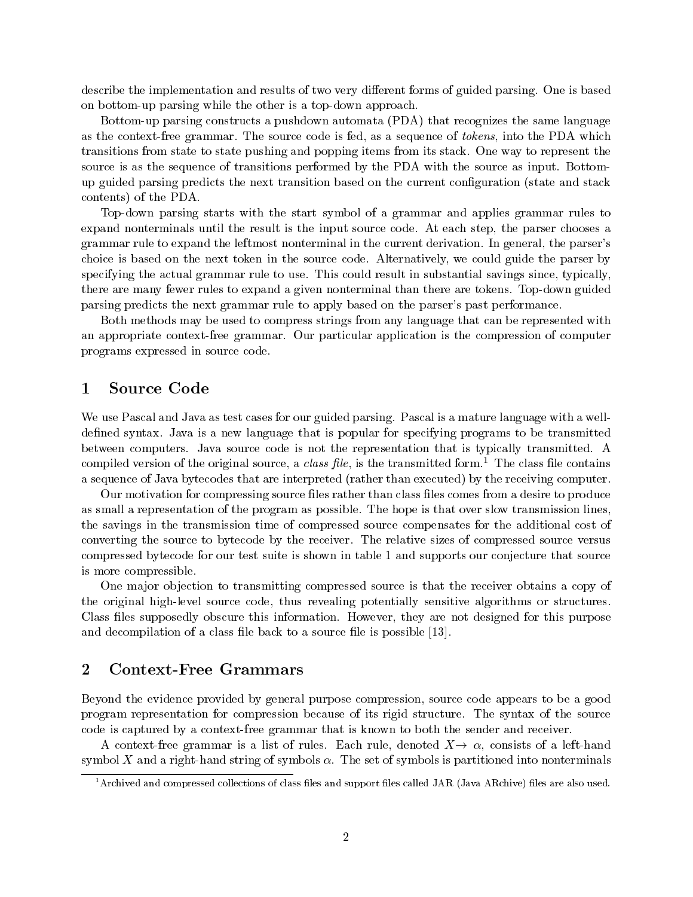describe the implementation and results of two very different forms of guided parsing. One is based on bottom-up parsing while the other is a top-down approach.

Bottom-up parsing constructs a pushdown automata (PDA) that recognizes the same language as the context-free grammar. The source code is fed, as a sequence of *tokens*, into the PDA which transitions from state to state pushing and popping items from its stack. One way to represent the source is as the sequence of transitions performed by the PDA with the source as input. Bottomup guided parsing predicts the next transition based on the current configuration (state and stack contents) of the PDA.

Top-down parsing starts with the start symbol of a grammar and applies grammar rules to expand nonterminals until the result is the input source code. At each step, the parser chooses a grammar rule to expand the leftmost nonterminal in the current derivation. In general, the parser's choice is based on the next token in the source code. Alternatively, we could guide the parser by specifying the actual grammar rule to use. This could result in substantial savings since, typically, there are many fewer rules to expand a given nonterminal than there are tokens. Top-down guided parsing predicts the next grammar rule to apply based on the parser's past performance.

Both methods may be used to compress strings from any language that can be represented with an appropriate context-free grammar. Our particular application is the compression of computer programs expressed in source code.

### **Source Code** 1

We use Pascal and Java as test cases for our guided parsing. Pascal is a mature language with a welldefined syntax. Java is a new language that is popular for specifying programs to be transmitted between computers. Java source code is not the representation that is typically transmitted. A compiled version of the original source, a *class file*, is the transmitted form.<sup>1</sup> The class file contains a sequence of Java bytecodes that are interpreted (rather than executed) by the receiving computer.

Our motivation for compressing source files rather than class files comes from a desire to produce as small a representation of the program as possible. The hope is that over slow transmission lines, the savings in the transmission time of compressed source compensates for the additional cost of converting the source to bytecode by the receiver. The relative sizes of compressed source versus compressed bytecode for our test suite is shown in table 1 and supports our conjecture that source is more compressible.

One major objection to transmitting compressed source is that the receiver obtains a copy of the original high-level source code, thus revealing potentially sensitive algorithms or structures. Class files supposedly obscure this information. However, they are not designed for this purpose and decompilation of a class file back to a source file is possible [13].

#### $\overline{2}$ **Context-Free Grammars**

Beyond the evidence provided by general purpose compression, source code appears to be a good program representation for compression because of its rigid structure. The syntax of the source code is captured by a context-free grammar that is known to both the sender and receiver.

A context-free grammar is a list of rules. Each rule, denoted  $X \rightarrow \alpha$ , consists of a left-hand symbol X and a right-hand string of symbols  $\alpha$ . The set of symbols is partitioned into nonterminals

 $^1$  Archived and compressed collections of class files and support files called JAR (Java ARchive) files are also used.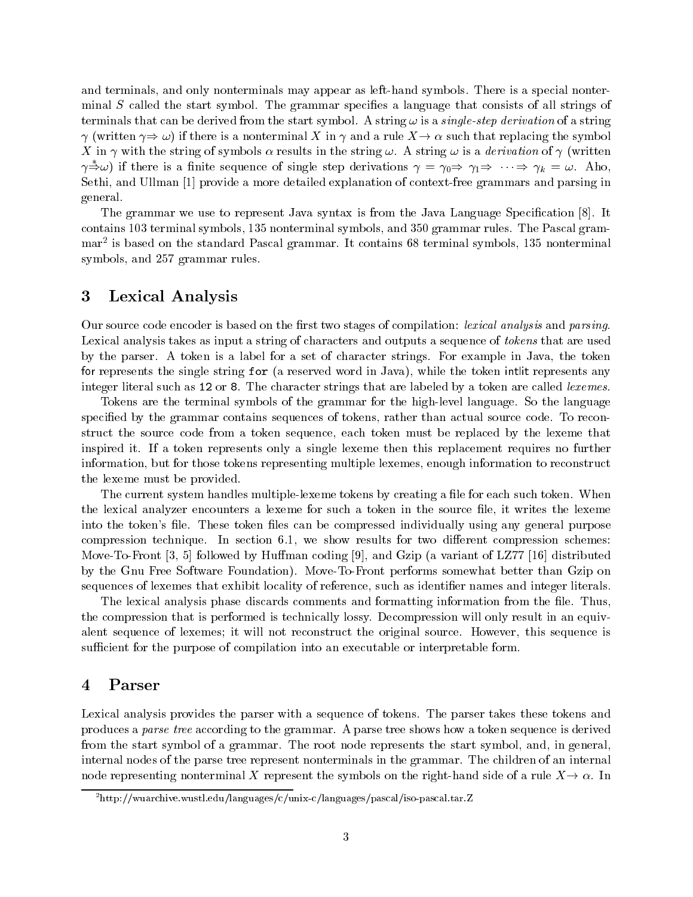and terminals, and only nonterminals may appear as left-hand symbols. There is a special nonterminal S called the start symbol. The grammar specifies a language that consists of all strings of terminals that can be derived from the start symbol. A string  $\omega$  is a *single-step derivation* of a string  $\gamma$  (written  $\gamma \Rightarrow \omega$ ) if there is a nonterminal X in  $\gamma$  and a rule  $X \rightarrow \alpha$  such that replacing the symbol X in  $\gamma$  with the string of symbols  $\alpha$  results in the string  $\omega$ . A string  $\omega$  is a *derivation* of  $\gamma$  (written  $\gamma \to \omega$ ) if there is a finite sequence of single step derivations  $\gamma = \gamma_0 \Rightarrow \gamma_1 \Rightarrow \cdots \Rightarrow \gamma_k = \omega$ . Also, Sethi, and Ullman [1] provide a more detailed explanation of context-free grammars and parsing in general.

The grammar we use to represent Java syntax is from the Java Language Specification [8]. It contains 103 terminal symbols, 135 nonterminal symbols, and 350 grammar rules. The Pascal grammar<sup>2</sup> is based on the standard Pascal grammar. It contains 68 terminal symbols, 135 nonterminal symbols, and 257 grammar rules.

#### $\boldsymbol{3}$ Lexical Analysis

Our source code encoder is based on the first two stages of compilation: *lexical analysis* and *parsing*. Lexical analysis takes as input a string of characters and outputs a sequence of *tokens* that are used by the parser. A token is a label for a set of character strings. For example in Java, the token for represents the single string for (a reserved word in Java), while the token intlit represents any integer literal such as 12 or 8. The character strings that are labeled by a token are called lexemes.

Tokens are the terminal symbols of the grammar for the high-level language. So the language specified by the grammar contains sequences of tokens, rather than actual source code. To reconstruct the source code from a token sequence, each token must be replaced by the lexeme that inspired it. If a token represents only a single lexeme then this replacement requires no further information, but for those tokens representing multiple lexemes, enough information to reconstruct the lexeme must be provided.

The current system handles multiple-lexeme tokens by creating a file for each such token. When the lexical analyzer encounters a lexeme for such a token in the source file, it writes the lexeme into the token's file. These token files can be compressed individually using any general purpose compression technique. In section 6.1, we show results for two different compression schemes: Move-To-Front [3, 5] followed by Huffman coding [9], and Gzip (a variant of LZ77 [16] distributed by the Gnu Free Software Foundation). Move-To-Front performs somewhat better than Gzip on sequences of lexemes that exhibit locality of reference, such as identifier names and integer literals.

The lexical analysis phase discards comments and formatting information from the file. Thus, the compression that is performed is technically lossy. Decompression will only result in an equivalent sequence of lexemes; it will not reconstruct the original source. However, this sequence is sufficient for the purpose of compilation into an executable or interpretable form.

#### Parser  $\bf{4}$

Lexical analysis provides the parser with a sequence of tokens. The parser takes these tokens and produces a parse tree according to the grammar. A parse tree shows how a token sequence is derived from the start symbol of a grammar. The root node represents the start symbol, and, in general, internal nodes of the parse tree represent nonterminals in the grammar. The children of an internal node representing nonterminal X represent the symbols on the right-hand side of a rule  $X \to \alpha$ . In

 $^{2}$ http://wuarchive.wustl.edu/languages/c/unix-c/languages/pascal/iso-pascal.tar.Z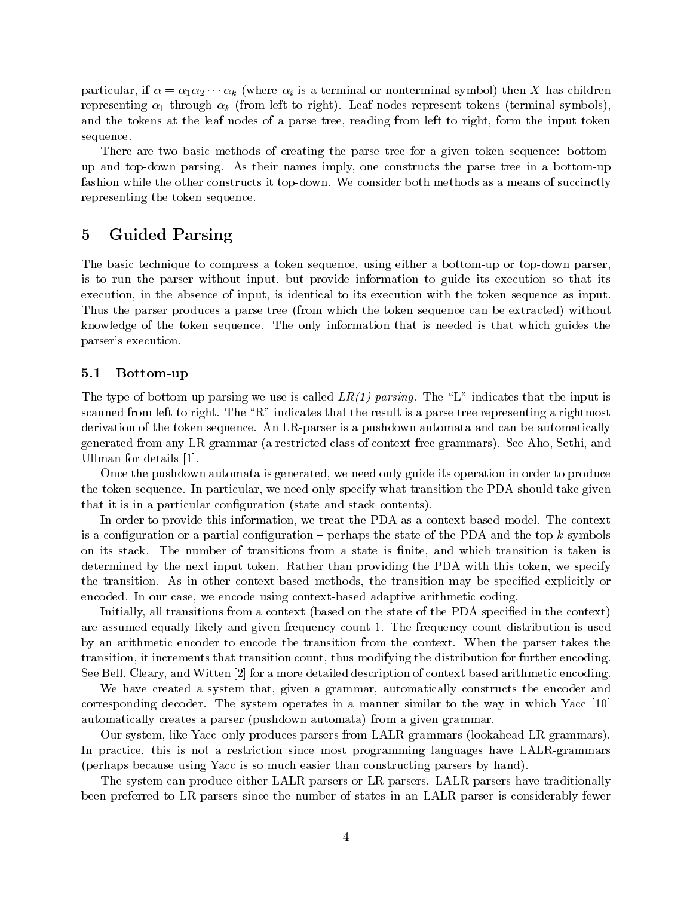particular, if  $\alpha = \alpha_1 \alpha_2 \cdots \alpha_k$  (where  $\alpha_i$  is a terminal or nonterminal symbol) then X has children representing  $\alpha_1$  through  $\alpha_k$  (from left to right). Leaf nodes represent tokens (terminal symbols), and the tokens at the leaf nodes of a parse tree, reading from left to right, form the input token sequence.

There are two basic methods of creating the parse tree for a given token sequence: bottomup and top-down parsing. As their names imply, one constructs the parse tree in a bottom-up fashion while the other constructs it top-down. We consider both methods as a means of succinctly representing the token sequence.

# $\overline{5}$ **Guided Parsing**

The basic technique to compress a token sequence, using either a bottom-up or top-down parser. is to run the parser without input, but provide information to guide its execution so that its execution, in the absence of input, is identical to its execution with the token sequence as input. Thus the parser produces a parse tree (from which the token sequence can be extracted) without knowledge of the token sequence. The only information that is needed is that which guides the parser's execution.

#### Bottom-up  $5.1$

The type of bottom-up parsing we use is called  $LR(1)$  parsing. The "L" indicates that the input is scanned from left to right. The "R" indicates that the result is a parse tree representing a rightmost derivation of the token sequence. An LR-parser is a pushdown automata and can be automatically generated from any LR-grammar (a restricted class of context-free grammars). See Aho, Sethi, and Ullman for details  $[1]$ .

Once the pushdown automata is generated, we need only guide its operation in order to produce the token sequence. In particular, we need only specify what transition the PDA should take given that it is in a particular configuration (state and stack contents).

In order to provide this information, we treat the PDA as a context-based model. The context is a configuration or a partial configuration – perhaps the state of the PDA and the top  $k$  symbols on its stack. The number of transitions from a state is finite, and which transition is taken is determined by the next input token. Rather than providing the PDA with this token, we specify the transition. As in other context-based methods, the transition may be specified explicitly or encoded. In our case, we encode using context-based adaptive arithmetic coding.

Initially, all transitions from a context (based on the state of the PDA specified in the context) are assumed equally likely and given frequency count 1. The frequency count distribution is used by an arithmetic encoder to encode the transition from the context. When the parser takes the transition, it increments that transition count, thus modifying the distribution for further encoding. See Bell, Cleary, and Witten [2] for a more detailed description of context based arithmetic encoding.

We have created a system that, given a grammar, automatically constructs the encoder and corresponding decoder. The system operates in a manner similar to the way in which Yacc [10] automatically creates a parser (pushdown automata) from a given grammar.

Our system, like Yacc\_only produces parsers from LALR-grammars (lookahead LR-grammars). In practice, this is not a restriction since most programming languages have LALR-grammars (perhaps because using Yacc is so much easier than constructing parsers by hand).

The system can produce either LALR-parsers or LR-parsers. LALR-parsers have traditionally been preferred to LR-parsers since the number of states in an LALR-parser is considerably fewer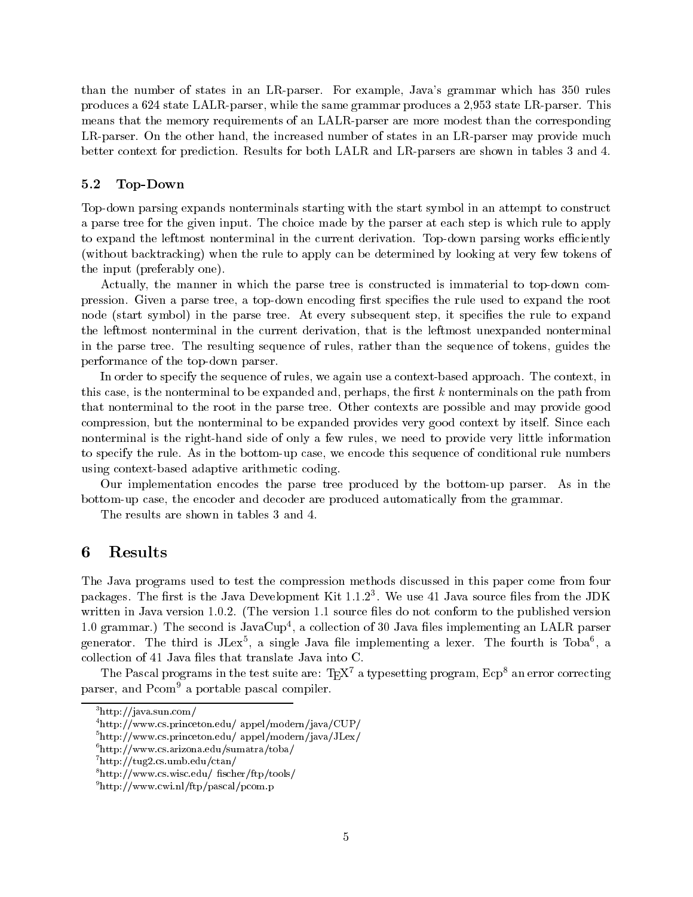than the number of states in an LR-parser. For example, Java's grammar which has 350 rules produces a 624 state LALR-parser, while the same grammar produces a 2,953 state LR-parser. This means that the memory requirements of an LALR-parser are more modest than the corresponding LR-parser. On the other hand, the increased number of states in an LR-parser may provide much better context for prediction. Results for both LALR and LR-parsers are shown in tables 3 and 4.

#### $5.2$ Top-Down

Top-down parsing expands nonterminals starting with the start symbol in an attempt to construct a parse tree for the given input. The choice made by the parser at each step is which rule to apply to expand the leftmost nonterminal in the current derivation. Top-down parsing works efficiently (without backtracking) when the rule to apply can be determined by looking at very few tokens of the input (preferably one).

Actually, the manner in which the parse tree is constructed is immaterial to top-down compression. Given a parse tree, a top-down encoding first specifies the rule used to expand the root node (start symbol) in the parse tree. At every subsequent step, it specifies the rule to expand the leftmost nonterminal in the current derivation, that is the leftmost unexpanded nonterminal in the parse tree. The resulting sequence of rules, rather than the sequence of tokens, guides the performance of the top-down parser.

In order to specify the sequence of rules, we again use a context-based approach. The context, in this case, is the nonterminal to be expanded and, perhaps, the first  $k$  nonterminals on the path from that nonterminal to the root in the parse tree. Other contexts are possible and may provide good compression, but the nonterminal to be expanded provides very good context by itself. Since each nonterminal is the right-hand side of only a few rules, we need to provide very little information to specify the rule. As in the bottom-up case, we encode this sequence of conditional rule numbers using context-based adaptive arithmetic coding.

Our implementation encodes the parse tree produced by the bottom-up parser. As in the bottom-up case, the encoder and decoder are produced automatically from the grammar.

The results are shown in tables 3 and 4.

#### 6 Results

The Java programs used to test the compression methods discussed in this paper come from four packages. The first is the Java Development Kit  $1.1.2<sup>3</sup>$ . We use 41 Java source files from the JDK written in Java version 1.0.2. (The version 1.1 source files do not conform to the published version 1.0 grammar.) The second is  $JavaCup<sup>4</sup>$ , a collection of 30 Java files implementing an LALR parser generator. The third is  $JLex^5$ , a single Java file implementing a lexer. The fourth is Toba<sup>6</sup>, a collection of 41 Java files that translate Java into C.

The Pascal programs in the test suite are:  $T_{E}X^{7}$  a typesetting program,  $E_{CP}^{8}$  an error correcting parser, and Pcom<sup>9</sup> a portable pascal compiler.

 $3$ http://java.sun.com/

 $4$ http://www.cs.princeton.edu/ appel/modern/java/CUP/

 $5$ http://www.cs.princeton.edu/ appel/modern/java/JLex/

 $^{6}$ http://www.cs.arizona.edu/sumatra/toba/

 $^7$ http://tug2.cs.umb.edu/ctan/

 $\text{``http://www.cs.wisc.edu/ fischer/ftp/tools/}$ 

 $^{9}$ http://www.cwi.nl/ftp/pascal/pcom.p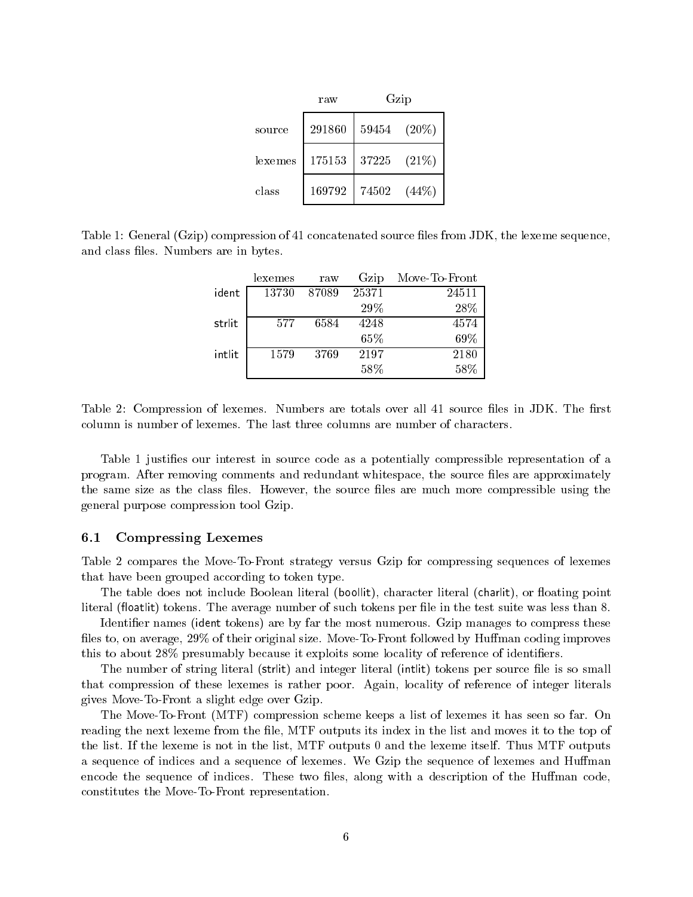|         | raw    | Gzip  |          |
|---------|--------|-------|----------|
| source  | 291860 | 59454 | $(20\%)$ |
| lexemes | 175153 | 37225 | (21%)    |
| class   | 169792 | 74502 | $(44\%)$ |

Table 1: General (Gzip) compression of 41 concatenated source files from JDK, the lexeme sequence. and class files. Numbers are in bytes.

|        | lexemes | raw   | Gzip  | Move-To-Front |
|--------|---------|-------|-------|---------------|
| ident  | 13730   | 87089 | 25371 | 24511         |
|        |         |       | 29%   | 28\%          |
| strlit | 577     | 6584  | 4248  | 4574          |
|        |         |       | 65%   | 69%           |
| intlit | 1579    | 3769  | 2197  | 2180          |
|        |         |       | 58%   | 58%           |

Table 2: Compression of lexemes. Numbers are totals over all 41 source files in JDK. The first column is number of lexemes. The last three columns are number of characters.

Table 1 justifies our interest in source code as a potentially compressible representation of a program. After removing comments and redundant whitespace, the source files are approximately the same size as the class files. However, the source files are much more compressible using the general purpose compression tool Gzip.

#### $6.1$ **Compressing Lexemes**

Table 2 compares the Move-To-Front strategy versus Gzip for compressing sequences of lexemes that have been grouped according to token type.

The table does not include Boolean literal (boollit), character literal (charlit), or floating point literal (floatlit) tokens. The average number of such tokens per file in the test suite was less than 8.

Identifier names (ident tokens) are by far the most numerous. Gzip manages to compress these files to, on average, 29% of their original size. Move-To-Front followed by Huffman coding improves this to about 28% presumably because it exploits some locality of reference of identifiers.

The number of string literal (strlit) and integer literal (intlit) tokens per source file is so small that compression of these lexemes is rather poor. Again, locality of reference of integer literals gives Move-To-Front a slight edge over Gzip.

The Move-To-Front (MTF) compression scheme keeps a list of lexemes it has seen so far. On reading the next lexeme from the file, MTF outputs its index in the list and moves it to the top of the list. If the lexeme is not in the list, MTF outputs 0 and the lexeme itself. Thus MTF outputs a sequence of indices and a sequence of lexemes. We Gzip the sequence of lexemes and Huffman encode the sequence of indices. These two files, along with a description of the Huffman code. constitutes the Move-To-Front representation.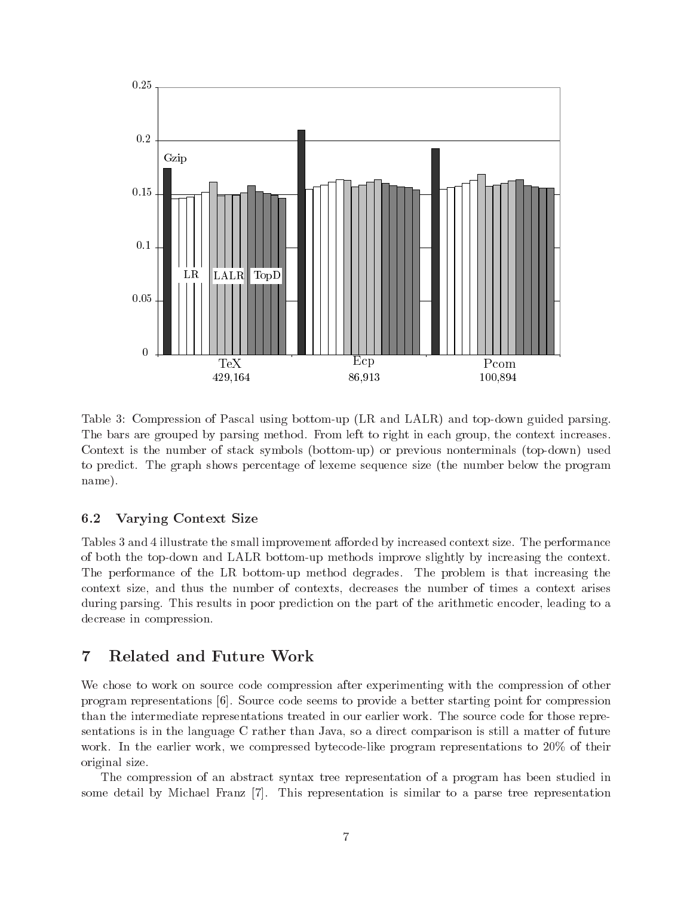

Table 3: Compression of Pascal using bottom-up (LR and LALR) and top-down guided parsing. The bars are grouped by parsing method. From left to right in each group, the context increases. Context is the number of stack symbols (bottom-up) or previous nonterminals (top-down) used to predict. The graph shows percentage of lexeme sequence size (the number below the program name).

#### 6.2 **Varying Context Size**

Tables 3 and 4 illustrate the small improvement afforded by increased context size. The performance of both the top-down and LALR bottom-up methods improve slightly by increasing the context. The performance of the LR bottom-up method degrades. The problem is that increasing the context size, and thus the number of contexts, decreases the number of times a context arises during parsing. This results in poor prediction on the part of the arithmetic encoder, leading to a decrease in compression.

# $\overline{7}$ Related and Future Work

We chose to work on source code compression after experimenting with the compression of other program representations [6]. Source code seems to provide a better starting point for compression than the intermediate representations treated in our earlier work. The source code for those representations is in the language C rather than Java, so a direct comparison is still a matter of future work. In the earlier work, we compressed bytecode-like program representations to 20% of their original size.

The compression of an abstract syntax tree representation of a program has been studied in some detail by Michael Franz [7]. This representation is similar to a parse tree representation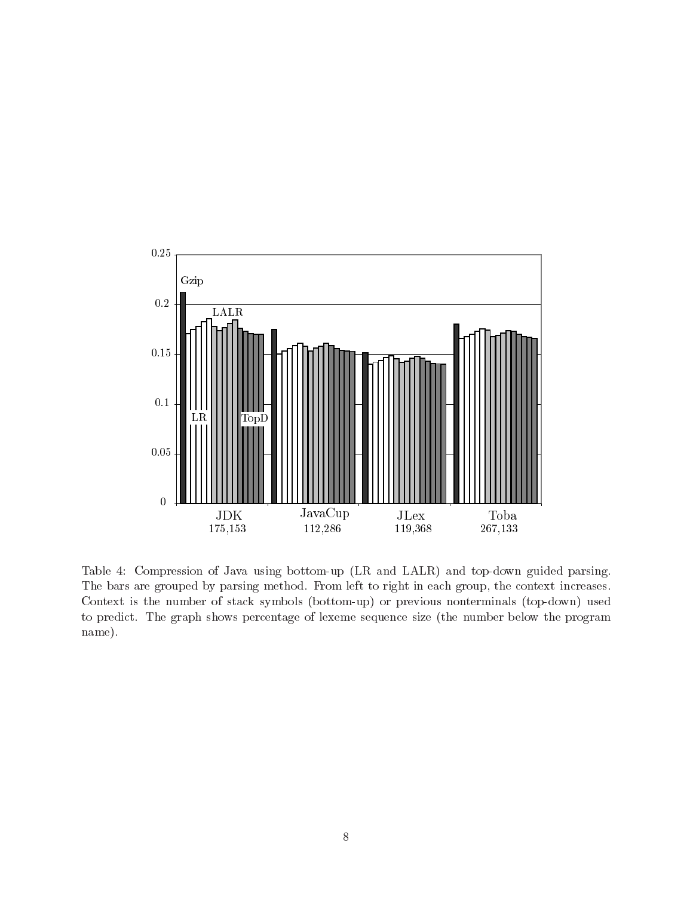

Table 4: Compression of Java using bottom-up (LR and LALR) and top-down guided parsing. The bars are grouped by parsing method. From left to right in each group, the context increases. Context is the number of stack symbols (bottom-up) or previous nonterminals (top-down) used to predict. The graph shows percentage of lexeme sequence size (the number below the program name).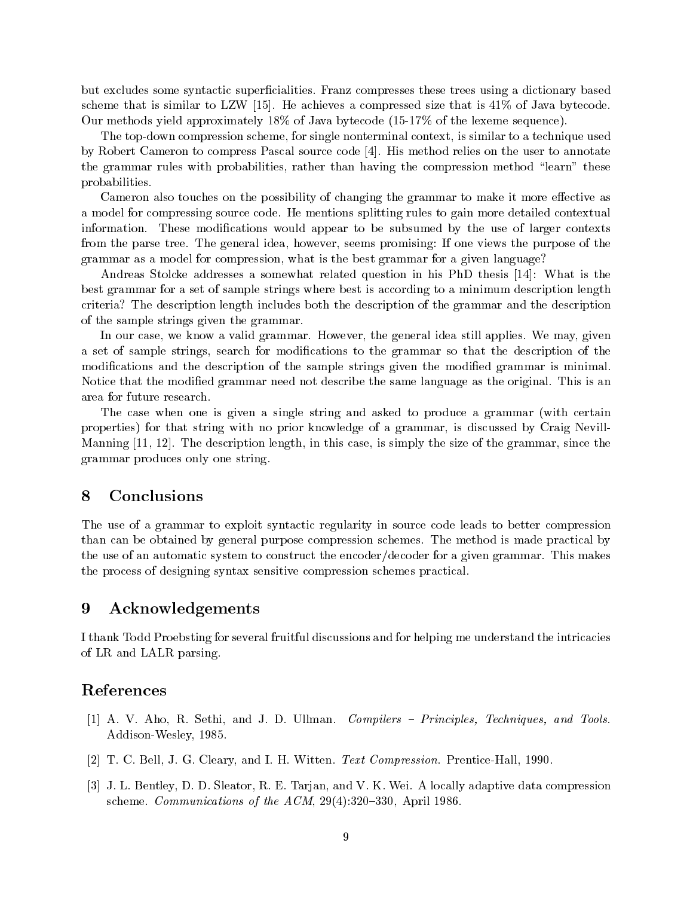but excludes some syntactic superficialities. Franz compresses these trees using a dictionary based scheme that is similar to LZW [15]. He achieves a compressed size that is  $41\%$  of Java bytecode. Our methods yield approximately 18% of Java bytecode  $(15-17\%$  of the lexeme sequence).

The top-down compression scheme, for single nonterminal context, is similar to a technique used by Robert Cameron to compress Pascal source code [4]. His method relies on the user to annotate the grammar rules with probabilities, rather than having the compression method "learn" these probabilities.

Cameron also touches on the possibility of changing the grammar to make it more effective as a model for compressing source code. He mentions splitting rules to gain more detailed contextual information. These modifications would appear to be subsumed by the use of larger contexts from the parse tree. The general idea, however, seems promising: If one views the purpose of the grammar as a model for compression, what is the best grammar for a given language?

Andreas Stolcke addresses a somewhat related question in his PhD thesis [14]: What is the best grammar for a set of sample strings where best is according to a minimum description length criteria? The description length includes both the description of the grammar and the description of the sample strings given the grammar.

In our case, we know a valid grammar. However, the general idea still applies. We may, given a set of sample strings, search for modifications to the grammar so that the description of the modifications and the description of the sample strings given the modified grammar is minimal. Notice that the modified grammar need not describe the same language as the original. This is an area for future research.

The case when one is given a single string and asked to produce a grammar (with certain properties) for that string with no prior knowledge of a grammar, is discussed by Craig Nevill-Manning [11, 12]. The description length, in this case, is simply the size of the grammar, since the grammar produces only one string.

#### Conclusions 8

The use of a grammar to exploit syntactic regularity in source code leads to better compression than can be obtained by general purpose compression schemes. The method is made practical by the use of an automatic system to construct the encoder/decoder for a given grammar. This makes the process of designing syntax sensitive compression schemes practical.

#### 9 Acknowledgements

I thank Todd Proebsting for several fruitful discussions and for helping me understand the intricacies of LR and LALR parsing.

# References

- [1] A. V. Aho, R. Sethi, and J. D. Ullman. Compilers Principles, Techniques, and Tools. Addison-Wesley, 1985.
- [2] T. C. Bell, J. G. Cleary, and I. H. Witten. Text Compression. Prentice-Hall, 1990.
- [3] J. L. Bentley, D. D. Sleator, R. E. Tarjan, and V. K. Wei. A locally adaptive data compression scheme. *Communications of the ACM*,  $29(4):320-330$ , April 1986.